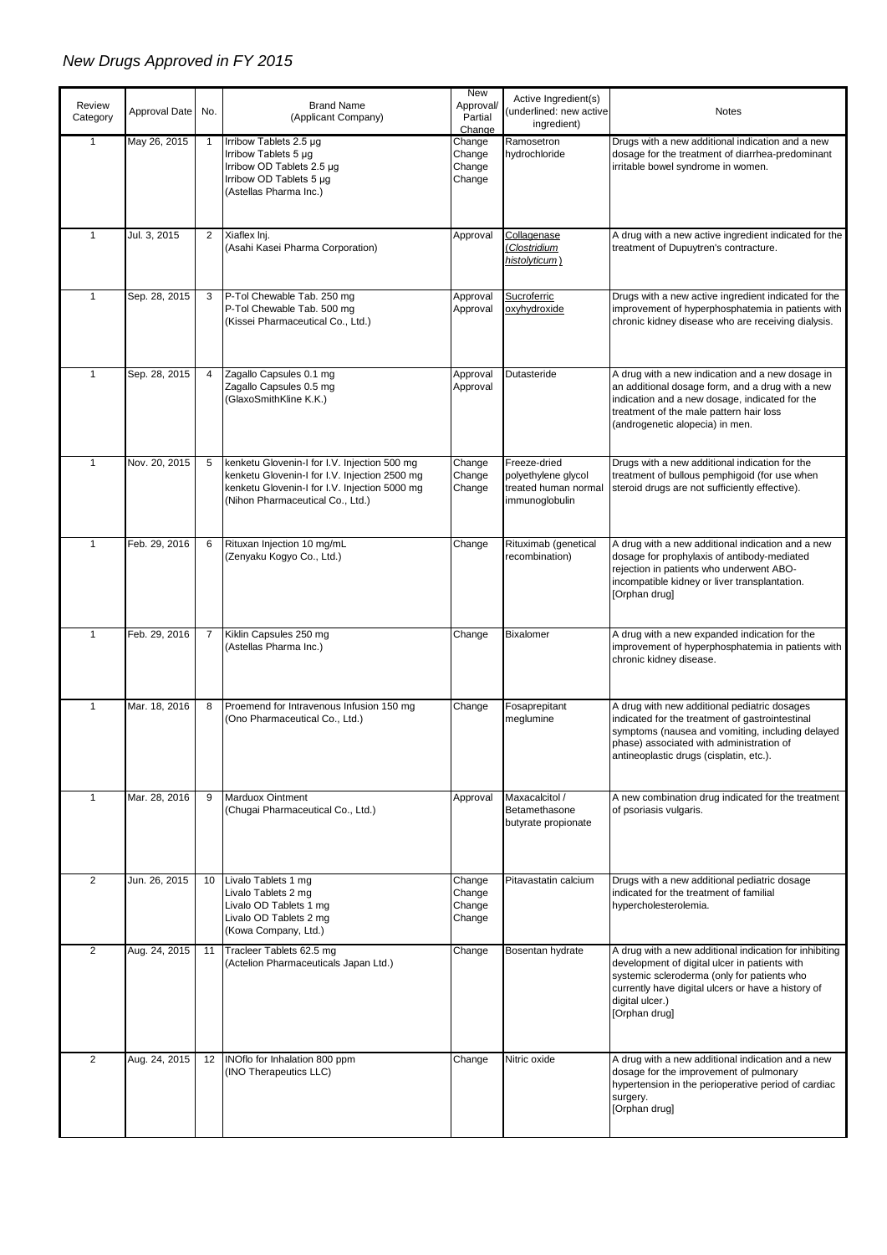## *New Drugs Approved in FY 2015*

| Review<br>Category | Approval Date | No.            | <b>Brand Name</b><br>(Applicant Company)                                                                                                                                           | New<br>Approval/<br>Partial<br>Change | Active Ingredient(s)<br>(underlined: new active<br>ingredient)                | Notes                                                                                                                                                                                                                                            |
|--------------------|---------------|----------------|------------------------------------------------------------------------------------------------------------------------------------------------------------------------------------|---------------------------------------|-------------------------------------------------------------------------------|--------------------------------------------------------------------------------------------------------------------------------------------------------------------------------------------------------------------------------------------------|
| $\mathbf{1}$       | May 26, 2015  | $\overline{1}$ | Irribow Tablets 2.5 µg<br>Irribow Tablets 5 µg<br>Irribow OD Tablets 2.5 µg<br>Irribow OD Tablets 5 µg<br>(Astellas Pharma Inc.)                                                   | Change<br>Change<br>Change<br>Change  | Ramosetron<br>hydrochloride                                                   | Drugs with a new additional indication and a new<br>dosage for the treatment of diarrhea-predominant<br>irritable bowel syndrome in women.                                                                                                       |
| $\mathbf{1}$       | Jul. 3, 2015  | $\overline{2}$ | Xiaflex Inj.<br>(Asahi Kasei Pharma Corporation)                                                                                                                                   | Approval                              | Collagenase<br>Clostridium<br>histolyticum)                                   | A drug with a new active ingredient indicated for the<br>treatment of Dupuytren's contracture.                                                                                                                                                   |
| $\mathbf{1}$       | Sep. 28, 2015 | 3              | P-Tol Chewable Tab. 250 mg<br>P-Tol Chewable Tab. 500 mg<br>(Kissei Pharmaceutical Co., Ltd.)                                                                                      | Approval<br>Approval                  | Sucroferric<br>oxyhydroxide                                                   | Drugs with a new active ingredient indicated for the<br>improvement of hyperphosphatemia in patients with<br>chronic kidney disease who are receiving dialysis.                                                                                  |
| $\mathbf{1}$       | Sep. 28, 2015 | 4              | Zagallo Capsules 0.1 mg<br>Zagallo Capsules 0.5 mg<br>(GlaxoSmithKline K.K.)                                                                                                       | Approval<br>Approval                  | Dutasteride                                                                   | A drug with a new indication and a new dosage in<br>an additional dosage form, and a drug with a new<br>indication and a new dosage, indicated for the<br>treatment of the male pattern hair loss<br>(androgenetic alopecia) in men.             |
| $\mathbf{1}$       | Nov. 20, 2015 | 5              | kenketu Glovenin-I for I.V. Injection 500 mg<br>kenketu Glovenin-I for I.V. Injection 2500 mg<br>kenketu Glovenin-I for I.V. Injection 5000 mg<br>(Nihon Pharmaceutical Co., Ltd.) | Change<br>Change<br>Change            | Freeze-dried<br>polyethylene glycol<br>treated human normal<br>immunoglobulin | Drugs with a new additional indication for the<br>treatment of bullous pemphigoid (for use when<br>steroid drugs are not sufficiently effective).                                                                                                |
| $\mathbf{1}$       | Feb. 29, 2016 | 6              | Rituxan Injection 10 mg/mL<br>(Zenyaku Kogyo Co., Ltd.)                                                                                                                            | Change                                | Rituximab (genetical<br>recombination)                                        | A drug with a new additional indication and a new<br>dosage for prophylaxis of antibody-mediated<br>rejection in patients who underwent ABO-<br>incompatible kidney or liver transplantation.<br>[Orphan drug]                                   |
| $\mathbf{1}$       | Feb. 29, 2016 | 7              | Kiklin Capsules 250 mg<br>(Astellas Pharma Inc.)                                                                                                                                   | Change                                | <b>Bixalomer</b>                                                              | A drug with a new expanded indication for the<br>improvement of hyperphosphatemia in patients with<br>chronic kidney disease.                                                                                                                    |
| $\mathbf{1}$       | Mar. 18, 2016 | 8              | Proemend for Intravenous Infusion 150 mg<br>(Ono Pharmaceutical Co., Ltd.)                                                                                                         | Change                                | Fosaprepitant<br>meglumine                                                    | A drug with new additional pediatric dosages<br>indicated for the treatment of gastrointestinal<br>symptoms (nausea and vomiting, including delayed<br>phase) associated with administration of<br>antineoplastic drugs (cisplatin, etc.).       |
| $\mathbf{1}$       | Mar. 28, 2016 | 9              | <b>Marduox Ointment</b><br>(Chugai Pharmaceutical Co., Ltd.)                                                                                                                       | Approval                              | Maxacalcitol /<br>Betamethasone<br>butyrate propionate                        | A new combination drug indicated for the treatment<br>of psoriasis vulgaris.                                                                                                                                                                     |
| $\overline{2}$     | Jun. 26, 2015 | 10             | Livalo Tablets 1 mg<br>Livalo Tablets 2 mg<br>Livalo OD Tablets 1 mg<br>Livalo OD Tablets 2 mg<br>(Kowa Company, Ltd.)                                                             | Change<br>Change<br>Change<br>Change  | Pitavastatin calcium                                                          | Drugs with a new additional pediatric dosage<br>indicated for the treatment of familial<br>hypercholesterolemia.                                                                                                                                 |
| 2                  | Aug. 24, 2015 | 11             | Tracleer Tablets 62.5 mg<br>(Actelion Pharmaceuticals Japan Ltd.)                                                                                                                  | Change                                | Bosentan hydrate                                                              | A drug with a new additional indication for inhibiting<br>development of digital ulcer in patients with<br>systemic scleroderma (only for patients who<br>currently have digital ulcers or have a history of<br>digital ulcer.)<br>[Orphan drug] |
| 2                  | Aug. 24, 2015 | 12             | INOflo for Inhalation 800 ppm<br>(INO Therapeutics LLC)                                                                                                                            | Change                                | Nitric oxide                                                                  | A drug with a new additional indication and a new<br>dosage for the improvement of pulmonary<br>hypertension in the perioperative period of cardiac<br>surgery.<br>[Orphan drug]                                                                 |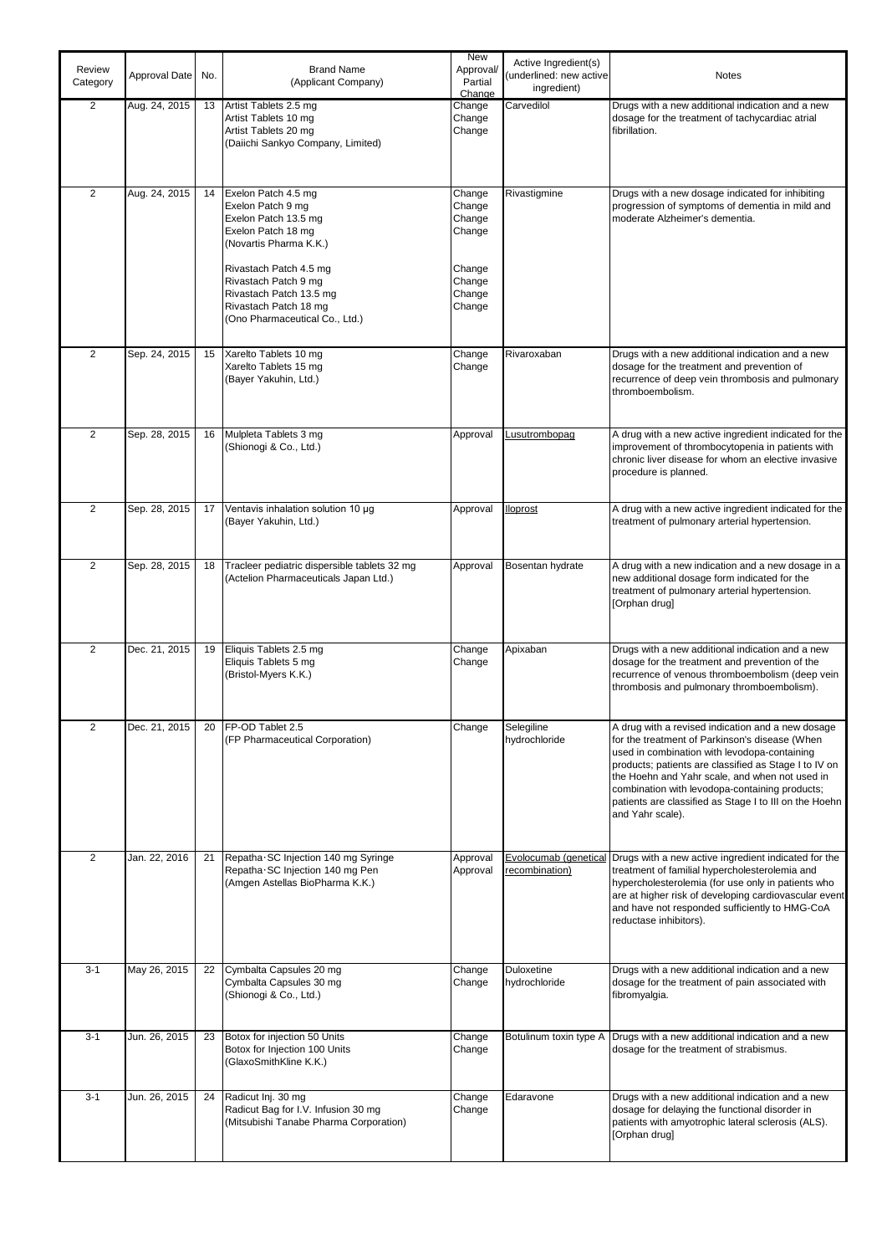| Review<br>Category | Approval Date | No. | <b>Brand Name</b><br>(Applicant Company)                                                                                                                                                                                                                 | New<br>Approval/<br>Partial<br>Change                                        | Active Ingredient(s)<br>(underlined: new active<br>ingredient) | Notes                                                                                                                                                                                                                                                                                                                                                                                          |
|--------------------|---------------|-----|----------------------------------------------------------------------------------------------------------------------------------------------------------------------------------------------------------------------------------------------------------|------------------------------------------------------------------------------|----------------------------------------------------------------|------------------------------------------------------------------------------------------------------------------------------------------------------------------------------------------------------------------------------------------------------------------------------------------------------------------------------------------------------------------------------------------------|
| $\overline{2}$     | Aug. 24, 2015 | 13  | Artist Tablets 2.5 mg<br>Artist Tablets 10 mg<br>Artist Tablets 20 mg<br>(Daiichi Sankyo Company, Limited)                                                                                                                                               | Change<br>Change<br>Change                                                   | Carvedilol                                                     | Drugs with a new additional indication and a new<br>dosage for the treatment of tachycardiac atrial<br>fibrillation.                                                                                                                                                                                                                                                                           |
| 2                  | Aug. 24, 2015 | 14  | Exelon Patch 4.5 mg<br>Exelon Patch 9 mg<br>Exelon Patch 13.5 mg<br>Exelon Patch 18 mg<br>(Novartis Pharma K.K.)<br>Rivastach Patch 4.5 mg<br>Rivastach Patch 9 mg<br>Rivastach Patch 13.5 mg<br>Rivastach Patch 18 mg<br>(Ono Pharmaceutical Co., Ltd.) | Change<br>Change<br>Change<br>Change<br>Change<br>Change<br>Change<br>Change | Rivastigmine                                                   | Drugs with a new dosage indicated for inhibiting<br>progression of symptoms of dementia in mild and<br>moderate Alzheimer's dementia.                                                                                                                                                                                                                                                          |
| $\overline{2}$     | Sep. 24, 2015 | 15  | Xarelto Tablets 10 mg<br>Xarelto Tablets 15 mg<br>(Bayer Yakuhin, Ltd.)                                                                                                                                                                                  | Change<br>Change                                                             | Rivaroxaban                                                    | Drugs with a new additional indication and a new<br>dosage for the treatment and prevention of<br>recurrence of deep vein thrombosis and pulmonary<br>thromboembolism.                                                                                                                                                                                                                         |
| $\overline{2}$     | Sep. 28, 2015 | 16  | Mulpleta Tablets 3 mg<br>(Shionogi & Co., Ltd.)                                                                                                                                                                                                          | Approval                                                                     | Lusutrombopag                                                  | A drug with a new active ingredient indicated for the<br>improvement of thrombocytopenia in patients with<br>chronic liver disease for whom an elective invasive<br>procedure is planned.                                                                                                                                                                                                      |
| $\overline{2}$     | Sep. 28, 2015 | 17  | Ventavis inhalation solution 10 µg<br>(Bayer Yakuhin, Ltd.)                                                                                                                                                                                              | Approval                                                                     | lloprost                                                       | A drug with a new active ingredient indicated for the<br>treatment of pulmonary arterial hypertension.                                                                                                                                                                                                                                                                                         |
| $\overline{2}$     | Sep. 28, 2015 | 18  | Tracleer pediatric dispersible tablets 32 mg<br>(Actelion Pharmaceuticals Japan Ltd.)                                                                                                                                                                    | Approval                                                                     | Bosentan hydrate                                               | A drug with a new indication and a new dosage in a<br>new additional dosage form indicated for the<br>treatment of pulmonary arterial hypertension.<br>[Orphan drug]                                                                                                                                                                                                                           |
| 2                  | Dec. 21, 2015 | 19  | Eliquis Tablets 2.5 mg<br>Eliquis Tablets 5 mg<br>(Bristol-Myers K.K.)                                                                                                                                                                                   | Change<br>Change                                                             | Apixaban                                                       | Drugs with a new additional indication and a new<br>dosage for the treatment and prevention of the<br>recurrence of venous thromboembolism (deep vein<br>thrombosis and pulmonary thromboembolism).                                                                                                                                                                                            |
| $\overline{c}$     | Dec. 21, 2015 |     | 20 FP-OD Tablet 2.5<br>(FP Pharmaceutical Corporation)                                                                                                                                                                                                   | Change                                                                       | Selegiline<br>hydrochloride                                    | A drug with a revised indication and a new dosage<br>for the treatment of Parkinson's disease (When<br>used in combination with levodopa-containing<br>products; patients are classified as Stage I to IV on<br>the Hoehn and Yahr scale, and when not used in<br>combination with levodopa-containing products;<br>patients are classified as Stage I to III on the Hoehn<br>and Yahr scale). |
| $\overline{2}$     | Jan. 22, 2016 | 21  | Repatha SC Injection 140 mg Syringe<br>Repatha SC Injection 140 mg Pen<br>(Amgen Astellas BioPharma K.K.)                                                                                                                                                | Approval<br>Approval                                                         | Evolocumab (genetical<br>recombination)                        | Drugs with a new active ingredient indicated for the<br>treatment of familial hypercholesterolemia and<br>hypercholesterolemia (for use only in patients who<br>are at higher risk of developing cardiovascular event<br>and have not responded sufficiently to HMG-CoA<br>reductase inhibitors).                                                                                              |
| $3 - 1$            | May 26, 2015  | 22  | Cymbalta Capsules 20 mg<br>Cymbalta Capsules 30 mg<br>(Shionogi & Co., Ltd.)                                                                                                                                                                             | Change<br>Change                                                             | Duloxetine<br>hydrochloride                                    | Drugs with a new additional indication and a new<br>dosage for the treatment of pain associated with<br>fibromyalgia.                                                                                                                                                                                                                                                                          |
| $3 - 1$            | Jun. 26, 2015 | 23  | Botox for injection 50 Units<br>Botox for Injection 100 Units<br>(GlaxoSmithKline K.K.)                                                                                                                                                                  | Change<br>Change                                                             | Botulinum toxin type A                                         | Drugs with a new additional indication and a new<br>dosage for the treatment of strabismus.                                                                                                                                                                                                                                                                                                    |
| $3 - 1$            | Jun. 26, 2015 | 24  | Radicut Inj. 30 mg<br>Radicut Bag for I.V. Infusion 30 mg<br>(Mitsubishi Tanabe Pharma Corporation)                                                                                                                                                      | Change<br>Change                                                             | Edaravone                                                      | Drugs with a new additional indication and a new<br>dosage for delaying the functional disorder in<br>patients with amyotrophic lateral sclerosis (ALS).<br>[Orphan drug]                                                                                                                                                                                                                      |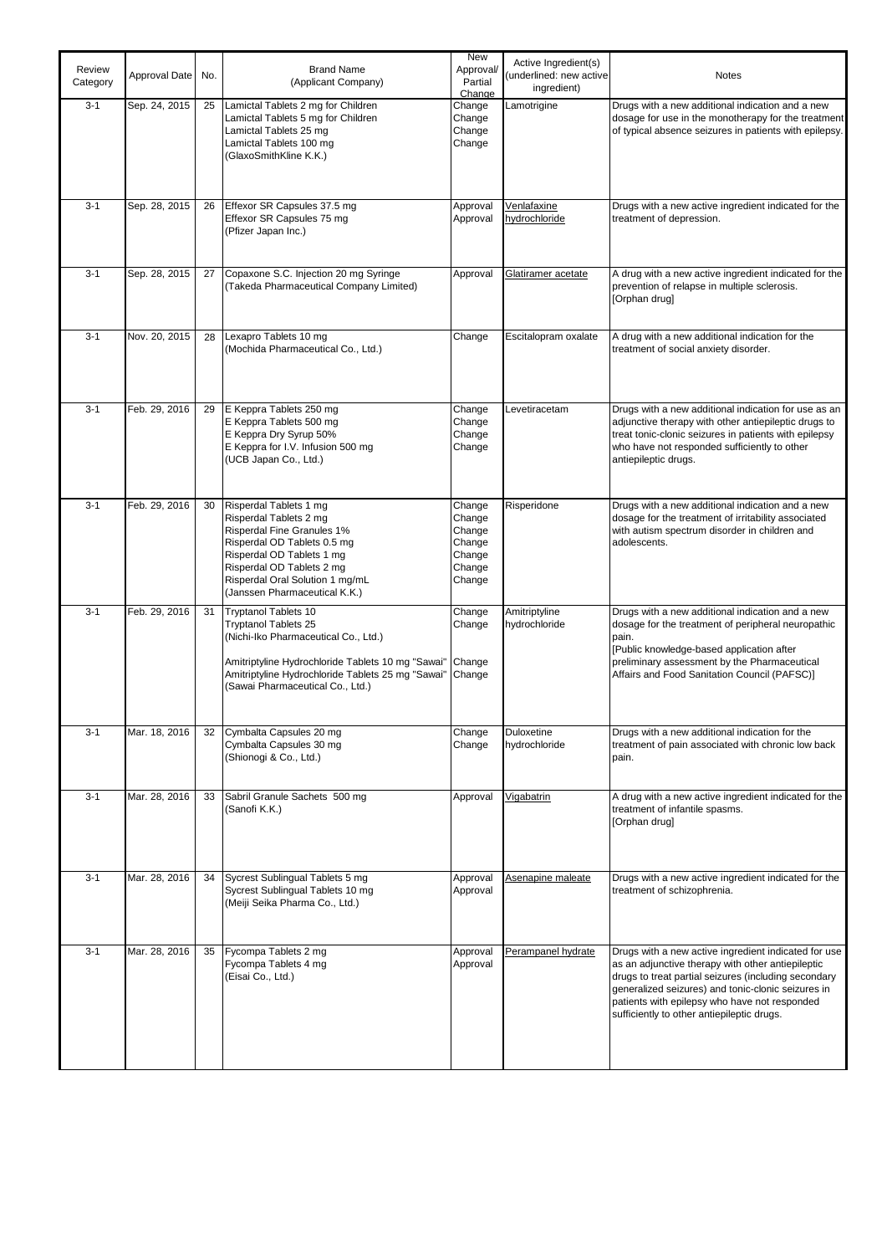| Review<br>Category | Approval Date | No. | <b>Brand Name</b><br>(Applicant Company)                                                                                                                                                                                                    | <b>New</b><br>Approval/<br>Partial<br>Change                       | Active Ingredient(s)<br>underlined: new active<br>ingredient) | <b>Notes</b>                                                                                                                                                                                                                                                                                                           |
|--------------------|---------------|-----|---------------------------------------------------------------------------------------------------------------------------------------------------------------------------------------------------------------------------------------------|--------------------------------------------------------------------|---------------------------------------------------------------|------------------------------------------------------------------------------------------------------------------------------------------------------------------------------------------------------------------------------------------------------------------------------------------------------------------------|
| $3 - 1$            | Sep. 24, 2015 | 25  | Lamictal Tablets 2 mg for Children<br>Lamictal Tablets 5 mg for Children<br>Lamictal Tablets 25 mg<br>Lamictal Tablets 100 mg<br>(GlaxoSmithKline K.K.)                                                                                     | Change<br>Change<br>Change<br>Change                               | Lamotrigine                                                   | Drugs with a new additional indication and a new<br>dosage for use in the monotherapy for the treatment<br>of typical absence seizures in patients with epilepsy.                                                                                                                                                      |
| $3 - 1$            | Sep. 28, 2015 | 26  | Effexor SR Capsules 37.5 mg<br>Effexor SR Capsules 75 mg<br>(Pfizer Japan Inc.)                                                                                                                                                             | Approval<br>Approval                                               | <b>Venlafaxine</b><br>hydrochloride                           | Drugs with a new active ingredient indicated for the<br>treatment of depression.                                                                                                                                                                                                                                       |
| $3 - 1$            | Sep. 28, 2015 | 27  | Copaxone S.C. Injection 20 mg Syringe<br>(Takeda Pharmaceutical Company Limited)                                                                                                                                                            | Approval                                                           | Glatiramer acetate                                            | A drug with a new active ingredient indicated for the<br>prevention of relapse in multiple sclerosis.<br>[Orphan drug]                                                                                                                                                                                                 |
| $3 - 1$            | Nov. 20, 2015 | 28  | Lexapro Tablets 10 mg<br>(Mochida Pharmaceutical Co., Ltd.)                                                                                                                                                                                 | Change                                                             | Escitalopram oxalate                                          | A drug with a new additional indication for the<br>treatment of social anxiety disorder.                                                                                                                                                                                                                               |
| $3 - 1$            | Feb. 29, 2016 | 29  | E Keppra Tablets 250 mg<br>E Keppra Tablets 500 mg<br>E Keppra Dry Syrup 50%<br>E Keppra for I.V. Infusion 500 mg<br>(UCB Japan Co., Ltd.)                                                                                                  | Change<br>Change<br>Change<br>Change                               | Levetiracetam                                                 | Drugs with a new additional indication for use as an<br>adjunctive therapy with other antiepileptic drugs to<br>treat tonic-clonic seizures in patients with epilepsy<br>who have not responded sufficiently to other<br>antiepileptic drugs.                                                                          |
| $3 - 1$            | Feb. 29, 2016 | 30  | Risperdal Tablets 1 mg<br>Risperdal Tablets 2 mg<br>Risperdal Fine Granules 1%<br>Risperdal OD Tablets 0.5 mg<br>Risperdal OD Tablets 1 mg<br>Risperdal OD Tablets 2 mg<br>Risperdal Oral Solution 1 mg/mL<br>(Janssen Pharmaceutical K.K.) | Change<br>Change<br>Change<br>Change<br>Change<br>Change<br>Change | Risperidone                                                   | Drugs with a new additional indication and a new<br>dosage for the treatment of irritability associated<br>with autism spectrum disorder in children and<br>adolescents.                                                                                                                                               |
| $3 - 1$            | Feb. 29, 2016 | 31  | Tryptanol Tablets 10<br><b>Tryptanol Tablets 25</b><br>(Nichi-Iko Pharmaceutical Co., Ltd.)<br>Amitriptyline Hydrochloride Tablets 10 mg "Sawai"<br>Amitriptyline Hydrochloride Tablets 25 mg "Sawai"<br>(Sawai Pharmaceutical Co., Ltd.)   | Change<br>Change<br>Change<br>Change                               | Amitriptyline<br>hydrochloride                                | Drugs with a new additional indication and a new<br>dosage for the treatment of peripheral neuropathic<br>pain.<br>[Public knowledge-based application after<br>preliminary assessment by the Pharmaceutical<br>Affairs and Food Sanitation Council (PAFSC)]                                                           |
| $3 - 1$            | Mar. 18, 2016 | 32  | Cymbalta Capsules 20 mg<br>Cymbalta Capsules 30 mg<br>(Shionogi & Co., Ltd.)                                                                                                                                                                | Change<br>Change                                                   | Duloxetine<br>hydrochloride                                   | Drugs with a new additional indication for the<br>treatment of pain associated with chronic low back<br>pain.                                                                                                                                                                                                          |
| $3 - 1$            | Mar. 28, 2016 | 33  | Sabril Granule Sachets 500 mg<br>(Sanofi K.K.)                                                                                                                                                                                              | Approval                                                           | Vigabatrin                                                    | A drug with a new active ingredient indicated for the<br>treatment of infantile spasms.<br>[Orphan drug]                                                                                                                                                                                                               |
| $3 - 1$            | Mar. 28, 2016 | 34  | Sycrest Sublingual Tablets 5 mg<br>Sycrest Sublingual Tablets 10 mg<br>(Meiji Seika Pharma Co., Ltd.)                                                                                                                                       | Approval<br>Approval                                               | Asenapine maleate                                             | Drugs with a new active ingredient indicated for the<br>treatment of schizophrenia.                                                                                                                                                                                                                                    |
| $3 - 1$            | Mar. 28, 2016 | 35  | Fycompa Tablets 2 mg<br>Fycompa Tablets 4 mg<br>(Eisai Co., Ltd.)                                                                                                                                                                           | Approval<br>Approval                                               | Perampanel hydrate                                            | Drugs with a new active ingredient indicated for use<br>as an adjunctive therapy with other antiepileptic<br>drugs to treat partial seizures (including secondary<br>generalized seizures) and tonic-clonic seizures in<br>patients with epilepsy who have not responded<br>sufficiently to other antiepileptic drugs. |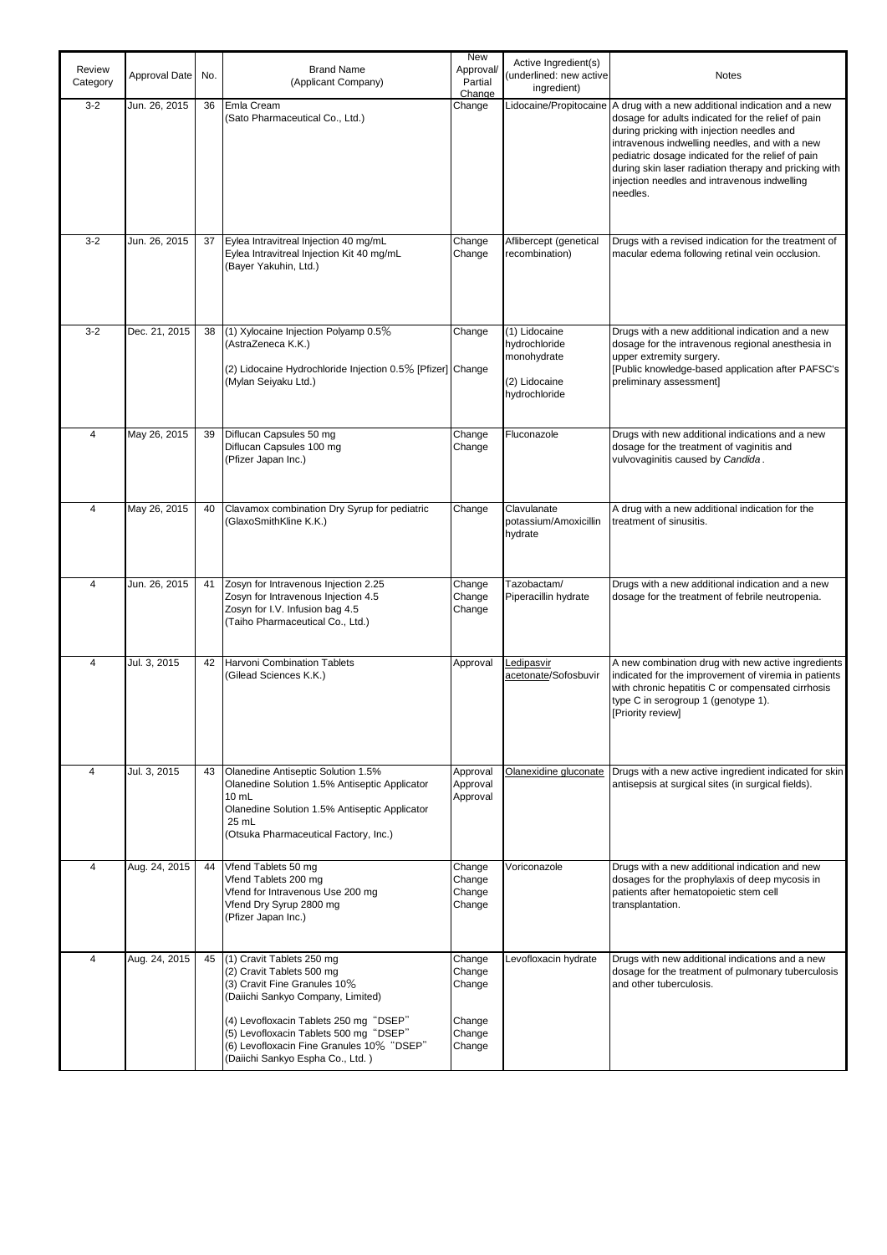| Review<br>Category | Approval Date | No. | <b>Brand Name</b><br>(Applicant Company)                                                                                                                                                                                                                                                         | <b>New</b><br>Approval/<br>Partial<br>Change             | Active Ingredient(s)<br>underlined: new active<br>ingredient)                   | <b>Notes</b>                                                                                                                                                                                                                                                                                                                                                                      |
|--------------------|---------------|-----|--------------------------------------------------------------------------------------------------------------------------------------------------------------------------------------------------------------------------------------------------------------------------------------------------|----------------------------------------------------------|---------------------------------------------------------------------------------|-----------------------------------------------------------------------------------------------------------------------------------------------------------------------------------------------------------------------------------------------------------------------------------------------------------------------------------------------------------------------------------|
| $3 - 2$            | Jun. 26, 2015 | 36  | Emla Cream<br>(Sato Pharmaceutical Co., Ltd.)                                                                                                                                                                                                                                                    | Change                                                   | Lidocaine/Propitocaine                                                          | A drug with a new additional indication and a new<br>dosage for adults indicated for the relief of pain<br>during pricking with injection needles and<br>intravenous indwelling needles, and with a new<br>pediatric dosage indicated for the relief of pain<br>during skin laser radiation therapy and pricking with<br>injection needles and intravenous indwelling<br>needles. |
| $3 - 2$            | Jun. 26, 2015 | 37  | Eylea Intravitreal Injection 40 mg/mL<br>Eylea Intravitreal Injection Kit 40 mg/mL<br>(Bayer Yakuhin, Ltd.)                                                                                                                                                                                      | Change<br>Change                                         | Aflibercept (genetical<br>recombination)                                        | Drugs with a revised indication for the treatment of<br>macular edema following retinal vein occlusion.                                                                                                                                                                                                                                                                           |
| $3 - 2$            | Dec. 21, 2015 | 38  | (1) Xylocaine Injection Polyamp 0.5%<br>(AstraZeneca K.K.)<br>(2) Lidocaine Hydrochloride Injection 0.5% [Pfizer] Change<br>(Mylan Seiyaku Ltd.)                                                                                                                                                 | Change                                                   | (1) Lidocaine<br>hydrochloride<br>monohydrate<br>(2) Lidocaine<br>hydrochloride | Drugs with a new additional indication and a new<br>dosage for the intravenous regional anesthesia in<br>upper extremity surgery.<br>[Public knowledge-based application after PAFSC's<br>preliminary assessment]                                                                                                                                                                 |
| $\overline{4}$     | May 26, 2015  | 39  | Diflucan Capsules 50 mg<br>Diflucan Capsules 100 mg<br>(Pfizer Japan Inc.)                                                                                                                                                                                                                       | Change<br>Change                                         | Fluconazole                                                                     | Drugs with new additional indications and a new<br>dosage for the treatment of vaginitis and<br>vulvovaginitis caused by Candida.                                                                                                                                                                                                                                                 |
| 4                  | May 26, 2015  | 40  | Clavamox combination Dry Syrup for pediatric<br>(GlaxoSmithKline K.K.)                                                                                                                                                                                                                           | Change                                                   | Clavulanate<br>potassium/Amoxicillin<br>hydrate                                 | A drug with a new additional indication for the<br>treatment of sinusitis.                                                                                                                                                                                                                                                                                                        |
| 4                  | Jun. 26, 2015 | 41  | Zosyn for Intravenous Injection 2.25<br>Zosyn for Intravenous Injection 4.5<br>Zosyn for I.V. Infusion bag 4.5<br>(Taiho Pharmaceutical Co., Ltd.)                                                                                                                                               | Change<br>Change<br>Change                               | Tazobactam/<br>Piperacillin hydrate                                             | Drugs with a new additional indication and a new<br>dosage for the treatment of febrile neutropenia.                                                                                                                                                                                                                                                                              |
| $\overline{4}$     | Jul. 3, 2015  | 42  | Harvoni Combination Tablets<br>(Gilead Sciences K.K.)                                                                                                                                                                                                                                            | Approval                                                 | Ledipasvir<br>acetonate/Sofosbuvir                                              | A new combination drug with new active ingredients<br>indicated for the improvement of viremia in patients<br>with chronic hepatitis C or compensated cirrhosis<br>type C in serogroup 1 (genotype 1).<br>[Priority review]                                                                                                                                                       |
| 4                  | Jul. 3, 2015  | 43  | Olanedine Antiseptic Solution 1.5%<br>Olanedine Solution 1.5% Antiseptic Applicator<br>10 mL<br>Olanedine Solution 1.5% Antiseptic Applicator<br>25 mL<br>(Otsuka Pharmaceutical Factory, Inc.)                                                                                                  | Approval<br>Approval<br>Approval                         | Olanexidine gluconate                                                           | Drugs with a new active ingredient indicated for skin<br>antisepsis at surgical sites (in surgical fields).                                                                                                                                                                                                                                                                       |
| 4                  | Aug. 24, 2015 | 44  | Vfend Tablets 50 mg<br>Vfend Tablets 200 mg<br>Vfend for Intravenous Use 200 mg<br>Vfend Dry Syrup 2800 mg<br>(Pfizer Japan Inc.)                                                                                                                                                                | Change<br>Change<br>Change<br>Change                     | Voriconazole                                                                    | Drugs with a new additional indication and new<br>dosages for the prophylaxis of deep mycosis in<br>patients after hematopoietic stem cell<br>transplantation.                                                                                                                                                                                                                    |
| 4                  | Aug. 24, 2015 | 45  | (1) Cravit Tablets 250 mg<br>(2) Cravit Tablets 500 mg<br>(3) Cravit Fine Granules 10%<br>(Daiichi Sankyo Company, Limited)<br>(4) Levofloxacin Tablets 250 mg "DSEP"<br>(5) Levofloxacin Tablets 500 mg "DSEP"<br>(6) Levofloxacin Fine Granules 10% "DSEP"<br>(Daiichi Sankyo Espha Co., Ltd.) | Change<br>Change<br>Change<br>Change<br>Change<br>Change | Levofloxacin hydrate                                                            | Drugs with new additional indications and a new<br>dosage for the treatment of pulmonary tuberculosis<br>and other tuberculosis.                                                                                                                                                                                                                                                  |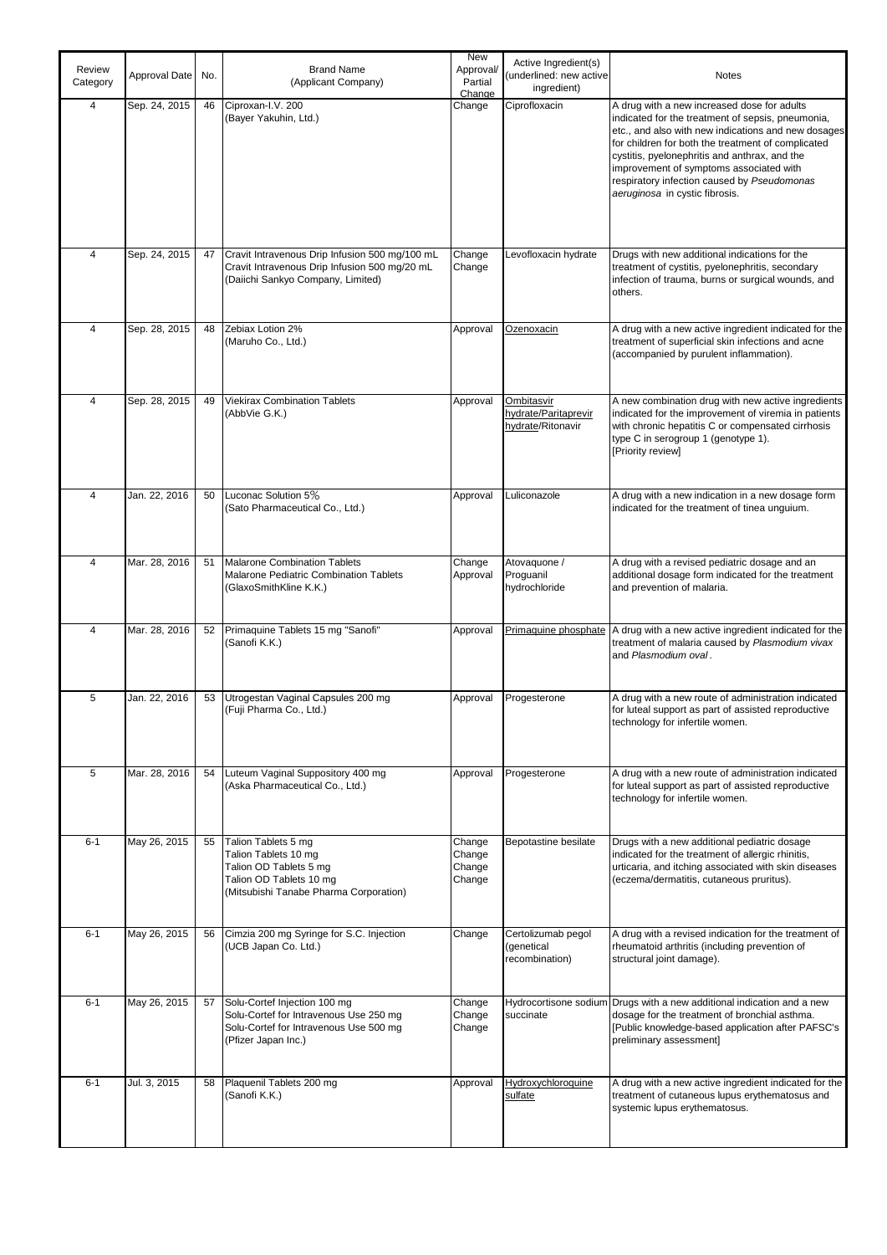|                    |               |     |                                                                                                                                            | <b>New</b>                           |                                                                |                                                                                                                                                                                                                                                                                                                                                                                            |
|--------------------|---------------|-----|--------------------------------------------------------------------------------------------------------------------------------------------|--------------------------------------|----------------------------------------------------------------|--------------------------------------------------------------------------------------------------------------------------------------------------------------------------------------------------------------------------------------------------------------------------------------------------------------------------------------------------------------------------------------------|
| Review<br>Category | Approval Date | No. | <b>Brand Name</b><br>(Applicant Company)                                                                                                   | Approval/<br>Partial<br>Change       | Active Ingredient(s)<br>(underlined: new active<br>ingredient) | <b>Notes</b>                                                                                                                                                                                                                                                                                                                                                                               |
| 4                  | Sep. 24, 2015 | 46  | Ciproxan-I.V. 200<br>(Bayer Yakuhin, Ltd.)                                                                                                 | Change                               | Ciprofloxacin                                                  | A drug with a new increased dose for adults<br>indicated for the treatment of sepsis, pneumonia,<br>etc., and also with new indications and new dosages<br>for children for both the treatment of complicated<br>cystitis, pyelonephritis and anthrax, and the<br>improvement of symptoms associated with<br>respiratory infection caused by Pseudomonas<br>aeruginosa in cystic fibrosis. |
| $\overline{4}$     | Sep. 24, 2015 | 47  | Cravit Intravenous Drip Infusion 500 mg/100 mL<br>Cravit Intravenous Drip Infusion 500 mg/20 mL<br>(Daiichi Sankyo Company, Limited)       | Change<br>Change                     | Levofloxacin hydrate                                           | Drugs with new additional indications for the<br>treatment of cystitis, pyelonephritis, secondary<br>infection of trauma, burns or surgical wounds, and<br>others.                                                                                                                                                                                                                         |
| 4                  | Sep. 28, 2015 | 48  | Zebiax Lotion 2%<br>(Maruho Co., Ltd.)                                                                                                     | Approval                             | Ozenoxacin                                                     | A drug with a new active ingredient indicated for the<br>treatment of superficial skin infections and acne<br>(accompanied by purulent inflammation).                                                                                                                                                                                                                                      |
| 4                  | Sep. 28, 2015 | 49  | <b>Viekirax Combination Tablets</b><br>(AbbVie G.K.)                                                                                       | Approval                             | Ombitasvir<br>hydrate/Paritaprevir<br>hydrate/Ritonavir        | A new combination drug with new active ingredients<br>indicated for the improvement of viremia in patients<br>with chronic hepatitis C or compensated cirrhosis<br>type C in serogroup 1 (genotype 1).<br>[Priority review]                                                                                                                                                                |
| 4                  | Jan. 22, 2016 | 50  | Luconac Solution 5%<br>(Sato Pharmaceutical Co., Ltd.)                                                                                     | Approval                             | Luliconazole                                                   | A drug with a new indication in a new dosage form<br>indicated for the treatment of tinea unguium.                                                                                                                                                                                                                                                                                         |
| 4                  | Mar. 28, 2016 | 51  | <b>Malarone Combination Tablets</b><br>Malarone Pediatric Combination Tablets<br>(GlaxoSmithKline K.K.)                                    | Change<br>Approval                   | Atovaquone /<br>Proguanil<br>hydrochloride                     | A drug with a revised pediatric dosage and an<br>additional dosage form indicated for the treatment<br>and prevention of malaria.                                                                                                                                                                                                                                                          |
| $\overline{4}$     | Mar. 28, 2016 | 52  | Primaquine Tablets 15 mg "Sanofi"<br>(Sanofi K.K.)                                                                                         | Approval                             | Primaguine phosphate                                           | A drug with a new active ingredient indicated for the<br>treatment of malaria caused by Plasmodium vivax<br>and Plasmodium oval.                                                                                                                                                                                                                                                           |
| 5                  | Jan. 22, 2016 | 53  | Utrogestan Vaginal Capsules 200 mg<br>(Fuji Pharma Co., Ltd.)                                                                              | Approval                             | Progesterone                                                   | A drug with a new route of administration indicated<br>for luteal support as part of assisted reproductive<br>technology for infertile women.                                                                                                                                                                                                                                              |
| 5                  | Mar. 28, 2016 | 54  | Luteum Vaginal Suppository 400 mg<br>(Aska Pharmaceutical Co., Ltd.)                                                                       | Approval                             | Progesterone                                                   | A drug with a new route of administration indicated<br>for luteal support as part of assisted reproductive<br>technology for infertile women.                                                                                                                                                                                                                                              |
| $6 - 1$            | May 26, 2015  | 55  | Talion Tablets 5 mg<br>Talion Tablets 10 mg<br>Talion OD Tablets 5 mg<br>Talion OD Tablets 10 mg<br>(Mitsubishi Tanabe Pharma Corporation) | Change<br>Change<br>Change<br>Change | Bepotastine besilate                                           | Drugs with a new additional pediatric dosage<br>indicated for the treatment of allergic rhinitis,<br>urticaria, and itching associated with skin diseases<br>(eczema/dermatitis, cutaneous pruritus).                                                                                                                                                                                      |
| $6 - 1$            | May 26, 2015  | 56  | Cimzia 200 mg Syringe for S.C. Injection<br>(UCB Japan Co. Ltd.)                                                                           | Change                               | Certolizumab pegol<br>(genetical<br>recombination)             | A drug with a revised indication for the treatment of<br>rheumatoid arthritis (including prevention of<br>structural joint damage).                                                                                                                                                                                                                                                        |
| $6 - 1$            | May 26, 2015  | 57  | Solu-Cortef Injection 100 mg<br>Solu-Cortef for Intravenous Use 250 mg<br>Solu-Cortef for Intravenous Use 500 mg<br>(Pfizer Japan Inc.)    | Change<br>Change<br>Change           | Hydrocortisone sodium<br>succinate                             | Drugs with a new additional indication and a new<br>dosage for the treatment of bronchial asthma.<br>[Public knowledge-based application after PAFSC's<br>preliminary assessment]                                                                                                                                                                                                          |
| $6 - 1$            | Jul. 3, 2015  | 58  | Plaquenil Tablets 200 mg<br>(Sanofi K.K.)                                                                                                  | Approval                             | Hydroxychloroquine<br>sulfate                                  | A drug with a new active ingredient indicated for the<br>treatment of cutaneous lupus erythematosus and<br>systemic lupus erythematosus.                                                                                                                                                                                                                                                   |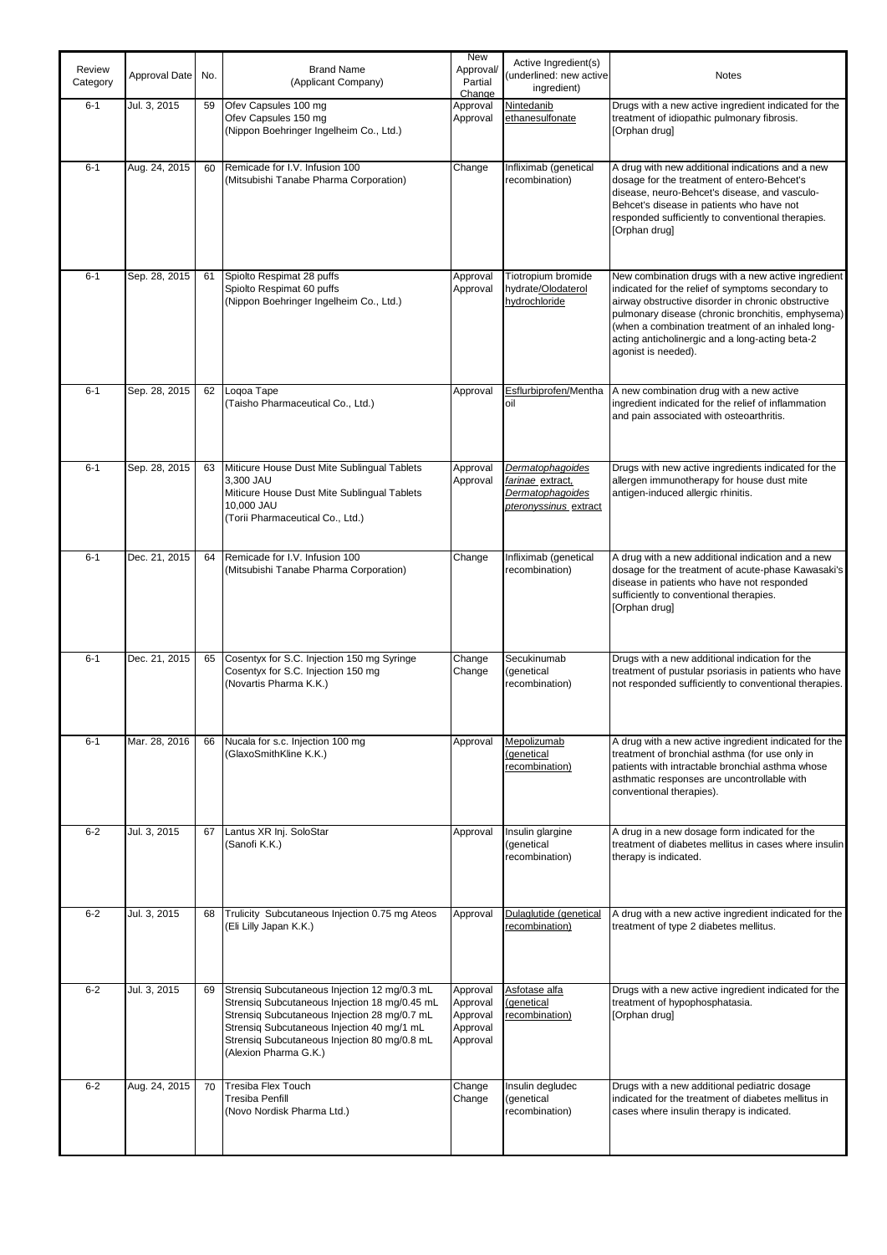| Review<br>Category | Approval Date | No. | <b>Brand Name</b><br>(Applicant Company)                                                                                                                                                                                                                             | New<br>Approval/<br>Partial<br>Change                    | Active Ingredient(s)<br>(underlined: new active<br>ingredient)                           | <b>Notes</b>                                                                                                                                                                                                                                                                                                                                      |
|--------------------|---------------|-----|----------------------------------------------------------------------------------------------------------------------------------------------------------------------------------------------------------------------------------------------------------------------|----------------------------------------------------------|------------------------------------------------------------------------------------------|---------------------------------------------------------------------------------------------------------------------------------------------------------------------------------------------------------------------------------------------------------------------------------------------------------------------------------------------------|
| $6 - 1$            | Jul. 3, 2015  | 59  | Ofev Capsules 100 mg<br>Ofev Capsules 150 mg<br>(Nippon Boehringer Ingelheim Co., Ltd.)                                                                                                                                                                              | Approval<br>Approval                                     | Nintedanib<br>ethanesulfonate                                                            | Drugs with a new active ingredient indicated for the<br>treatment of idiopathic pulmonary fibrosis.<br>[Orphan drug]                                                                                                                                                                                                                              |
| $6 - 1$            | Aug. 24, 2015 | 60  | Remicade for I.V. Infusion 100<br>(Mitsubishi Tanabe Pharma Corporation)                                                                                                                                                                                             | Change                                                   | Infliximab (genetical<br>recombination)                                                  | A drug with new additional indications and a new<br>dosage for the treatment of entero-Behcet's<br>disease, neuro-Behcet's disease, and vasculo-<br>Behcet's disease in patients who have not<br>responded sufficiently to conventional therapies.<br>[Orphan drug]                                                                               |
| $6 - 1$            | Sep. 28, 2015 | 61  | Spiolto Respimat 28 puffs<br>Spiolto Respimat 60 puffs<br>(Nippon Boehringer Ingelheim Co., Ltd.)                                                                                                                                                                    | Approval<br>Approval                                     | Tiotropium bromide<br>hydrate/Olodaterol<br>hydrochloride                                | New combination drugs with a new active ingredient<br>indicated for the relief of symptoms secondary to<br>airway obstructive disorder in chronic obstructive<br>pulmonary disease (chronic bronchitis, emphysema)<br>(when a combination treatment of an inhaled long-<br>acting anticholinergic and a long-acting beta-2<br>agonist is needed). |
| $6 - 1$            | Sep. 28, 2015 | 62  | Loqoa Tape<br>(Taisho Pharmaceutical Co., Ltd.)                                                                                                                                                                                                                      | Approval                                                 | Esflurbiprofen/Mentha<br>oil                                                             | A new combination drug with a new active<br>ingredient indicated for the relief of inflammation<br>and pain associated with osteoarthritis.                                                                                                                                                                                                       |
| $6 - 1$            | Sep. 28, 2015 | 63  | Miticure House Dust Mite Sublingual Tablets<br>3,300 JAU<br>Miticure House Dust Mite Sublingual Tablets<br>10,000 JAU<br>(Torii Pharmaceutical Co., Ltd.)                                                                                                            | Approval<br>Approval                                     | <b>Dermatophagoides</b><br>farinae extract,<br>Dermatophagoides<br>pteronyssinus extract | Drugs with new active ingredients indicated for the<br>allergen immunotherapy for house dust mite<br>antigen-induced allergic rhinitis.                                                                                                                                                                                                           |
| $6 - 1$            | Dec. 21, 2015 | 64  | Remicade for I.V. Infusion 100<br>(Mitsubishi Tanabe Pharma Corporation)                                                                                                                                                                                             | Change                                                   | Infliximab (genetical<br>recombination)                                                  | A drug with a new additional indication and a new<br>dosage for the treatment of acute-phase Kawasaki's<br>disease in patients who have not responded<br>sufficiently to conventional therapies.<br>[Orphan drug]                                                                                                                                 |
| $6 - 1$            | Dec. 21, 2015 | 65  | Cosentyx for S.C. Injection 150 mg Syringe<br>Cosentyx for S.C. Injection 150 mg<br>(Novartis Pharma K.K.)                                                                                                                                                           | Change<br>Change                                         | Secukinumab<br>(genetical<br>recombination)                                              | Drugs with a new additional indication for the<br>treatment of pustular psoriasis in patients who have<br>not responded sufficiently to conventional therapies.                                                                                                                                                                                   |
| $6 - 1$            | Mar. 28, 2016 | 66  | Nucala for s.c. Injection 100 mg<br>(GlaxoSmithKline K.K.)                                                                                                                                                                                                           | Approval                                                 | Mepolizumab<br>(genetical<br>recombination)                                              | A drug with a new active ingredient indicated for the<br>treatment of bronchial asthma (for use only in<br>patients with intractable bronchial asthma whose<br>asthmatic responses are uncontrollable with<br>conventional therapies).                                                                                                            |
| $6 - 2$            | Jul. 3, 2015  | 67  | Lantus XR Inj. SoloStar<br>(Sanofi K.K.)                                                                                                                                                                                                                             | Approval                                                 | Insulin glargine<br>(genetical<br>recombination)                                         | A drug in a new dosage form indicated for the<br>treatment of diabetes mellitus in cases where insulin<br>therapy is indicated.                                                                                                                                                                                                                   |
| $6 - 2$            | Jul. 3, 2015  | 68  | Trulicity Subcutaneous Injection 0.75 mg Ateos<br>(Eli Lilly Japan K.K.)                                                                                                                                                                                             | Approval                                                 | Dulaglutide (genetical<br>recombination)                                                 | A drug with a new active ingredient indicated for the<br>treatment of type 2 diabetes mellitus.                                                                                                                                                                                                                                                   |
| $6 - 2$            | Jul. 3, 2015  | 69  | Strensig Subcutaneous Injection 12 mg/0.3 mL<br>Strensiq Subcutaneous Injection 18 mg/0.45 mL<br>Strensig Subcutaneous Injection 28 mg/0.7 mL<br>Strensiq Subcutaneous Injection 40 mg/1 mL<br>Strensig Subcutaneous Injection 80 mg/0.8 mL<br>(Alexion Pharma G.K.) | Approval<br>Approval<br>Approval<br>Approval<br>Approval | Asfotase alfa<br>(genetical<br>recombination)                                            | Drugs with a new active ingredient indicated for the<br>treatment of hypophosphatasia.<br>[Orphan drug]                                                                                                                                                                                                                                           |
| $6 - 2$            | Aug. 24, 2015 | 70  | <b>Tresiba Flex Touch</b><br>Tresiba Penfill<br>(Novo Nordisk Pharma Ltd.)                                                                                                                                                                                           | Change<br>Change                                         | Insulin degludec<br>(genetical<br>recombination)                                         | Drugs with a new additional pediatric dosage<br>indicated for the treatment of diabetes mellitus in<br>cases where insulin therapy is indicated.                                                                                                                                                                                                  |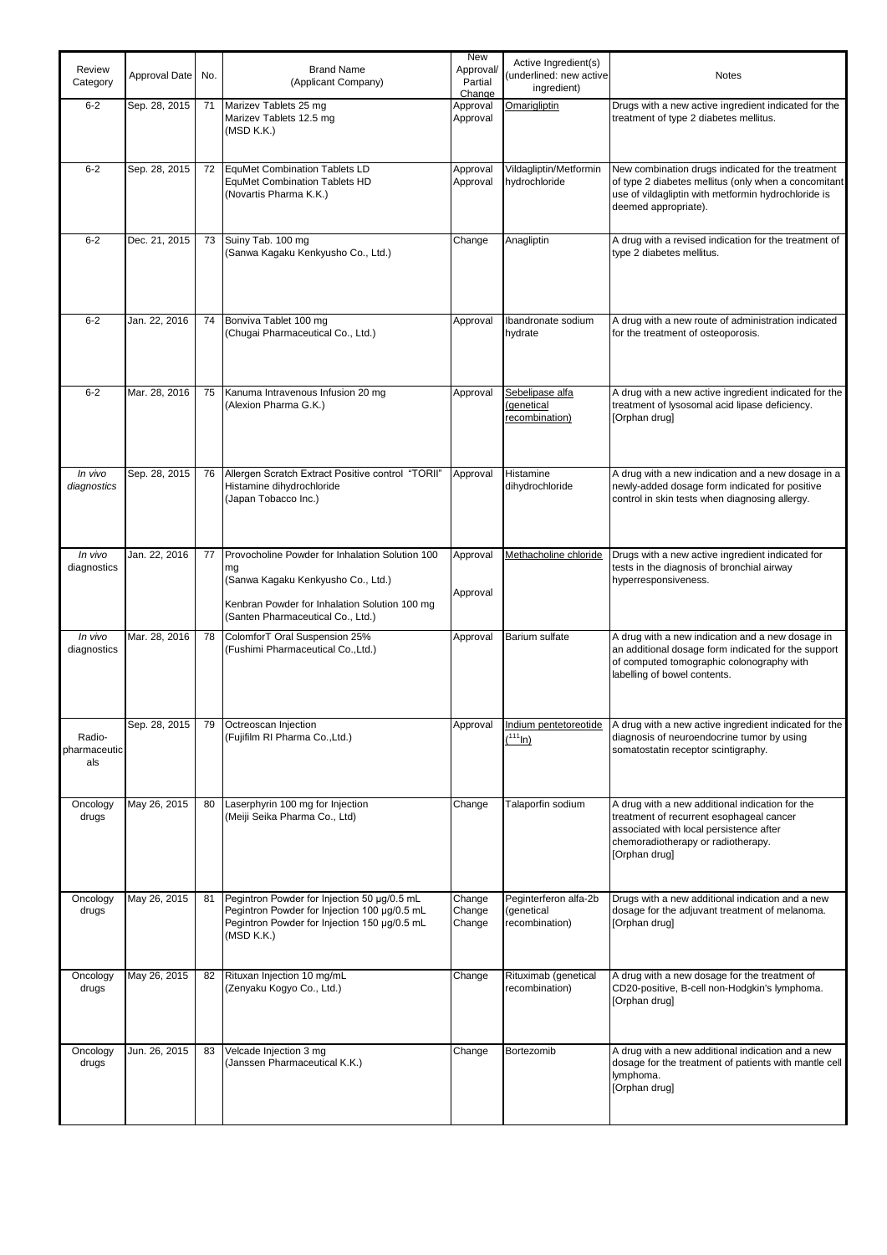| Review<br>Category            | Approval Date | No. | <b>Brand Name</b><br>(Applicant Company)                                                                                                                                          | New<br>Approval/<br>Partial<br>Change | Active Ingredient(s)<br>underlined: new active<br>ingredient) | <b>Notes</b>                                                                                                                                                                                  |
|-------------------------------|---------------|-----|-----------------------------------------------------------------------------------------------------------------------------------------------------------------------------------|---------------------------------------|---------------------------------------------------------------|-----------------------------------------------------------------------------------------------------------------------------------------------------------------------------------------------|
| $6 - 2$                       | Sep. 28, 2015 | 71  | Marizev Tablets 25 mg<br>Marizev Tablets 12.5 mg<br>(MSD K.K.)                                                                                                                    | Approval<br>Approval                  | <b>Omarigliptin</b>                                           | Drugs with a new active ingredient indicated for the<br>treatment of type 2 diabetes mellitus.                                                                                                |
| $6 - 2$                       | Sep. 28, 2015 | 72  | EquMet Combination Tablets LD<br><b>EquMet Combination Tablets HD</b><br>(Novartis Pharma K.K.)                                                                                   | Approval<br>Approval                  | Vildagliptin/Metformin<br>hydrochloride                       | New combination drugs indicated for the treatment<br>of type 2 diabetes mellitus (only when a concomitant<br>use of vildagliptin with metformin hydrochloride is<br>deemed appropriate).      |
| $6 - 2$                       | Dec. 21, 2015 | 73  | Suiny Tab. 100 mg<br>(Sanwa Kagaku Kenkyusho Co., Ltd.)                                                                                                                           | Change                                | Anagliptin                                                    | A drug with a revised indication for the treatment of<br>type 2 diabetes mellitus.                                                                                                            |
| $6 - 2$                       | Jan. 22, 2016 | 74  | Bonviva Tablet 100 mg<br>(Chugai Pharmaceutical Co., Ltd.)                                                                                                                        | Approval                              | Ibandronate sodium<br>hydrate                                 | A drug with a new route of administration indicated<br>for the treatment of osteoporosis.                                                                                                     |
| $6 - 2$                       | Mar. 28, 2016 | 75  | Kanuma Intravenous Infusion 20 mg<br>(Alexion Pharma G.K.)                                                                                                                        | Approval                              | Sebelipase alfa<br>(genetical<br>recombination)               | A drug with a new active ingredient indicated for the<br>treatment of lysosomal acid lipase deficiency.<br>[Orphan drug]                                                                      |
| In vivo<br>diagnostics        | Sep. 28, 2015 | 76  | Allergen Scratch Extract Positive control "TORII"<br>Histamine dihydrochloride<br>(Japan Tobacco Inc.)                                                                            | Approval                              | Histamine<br>dihydrochloride                                  | A drug with a new indication and a new dosage in a<br>newly-added dosage form indicated for positive<br>control in skin tests when diagnosing allergy.                                        |
| In vivo<br>diagnostics        | Jan. 22, 2016 | 77  | Provocholine Powder for Inhalation Solution 100<br>mg<br>(Sanwa Kagaku Kenkyusho Co., Ltd.)<br>Kenbran Powder for Inhalation Solution 100 mg<br>(Santen Pharmaceutical Co., Ltd.) | Approval<br>Approval                  | Methacholine chloride                                         | Drugs with a new active ingredient indicated for<br>tests in the diagnosis of bronchial airway<br>hyperresponsiveness.                                                                        |
| In vivo<br>diagnostics        | Mar. 28, 2016 | 78  | ColomforT Oral Suspension 25%<br>(Fushimi Pharmaceutical Co., Ltd.)                                                                                                               | Approval                              | Barium sulfate                                                | A drug with a new indication and a new dosage in<br>an additional dosage form indicated for the support<br>of computed tomographic colonography with<br>labelling of bowel contents.          |
| Radio-<br>pharmaceutic<br>als | Sep. 28, 2015 |     | 79 Octreoscan Injection<br>(Fujifilm RI Pharma Co., Ltd.)                                                                                                                         | Approval                              | Indium pentetoreotide<br>(111)                                | A drug with a new active ingredient indicated for the<br>diagnosis of neuroendocrine tumor by using<br>somatostatin receptor scintigraphy.                                                    |
| Oncology<br>drugs             | May 26, 2015  | 80  | Laserphyrin 100 mg for Injection<br>(Meiji Seika Pharma Co., Ltd)                                                                                                                 | Change                                | Talaporfin sodium                                             | A drug with a new additional indication for the<br>treatment of recurrent esophageal cancer<br>associated with local persistence after<br>chemoradiotherapy or radiotherapy.<br>[Orphan drug] |
| Oncology<br>drugs             | May 26, 2015  | 81  | Pegintron Powder for Injection 50 µg/0.5 mL<br>Pegintron Powder for Injection 100 µg/0.5 mL<br>Pegintron Powder for Injection 150 µg/0.5 mL<br>(MSD K.K.)                         | Change<br>Change<br>Change            | Peginterferon alfa-2b<br>(genetical<br>recombination)         | Drugs with a new additional indication and a new<br>dosage for the adjuvant treatment of melanoma.<br>[Orphan drug]                                                                           |
| Oncology<br>drugs             | May 26, 2015  | 82  | Rituxan Injection 10 mg/mL<br>(Zenyaku Kogyo Co., Ltd.)                                                                                                                           | Change                                | Rituximab (genetical<br>recombination)                        | A drug with a new dosage for the treatment of<br>CD20-positive, B-cell non-Hodgkin's lymphoma.<br>[Orphan drug]                                                                               |
| Oncology<br>drugs             | Jun. 26, 2015 | 83  | Velcade Injection 3 mg<br>(Janssen Pharmaceutical K.K.)                                                                                                                           | Change                                | Bortezomib                                                    | A drug with a new additional indication and a new<br>dosage for the treatment of patients with mantle cell<br>lymphoma.<br>[Orphan drug]                                                      |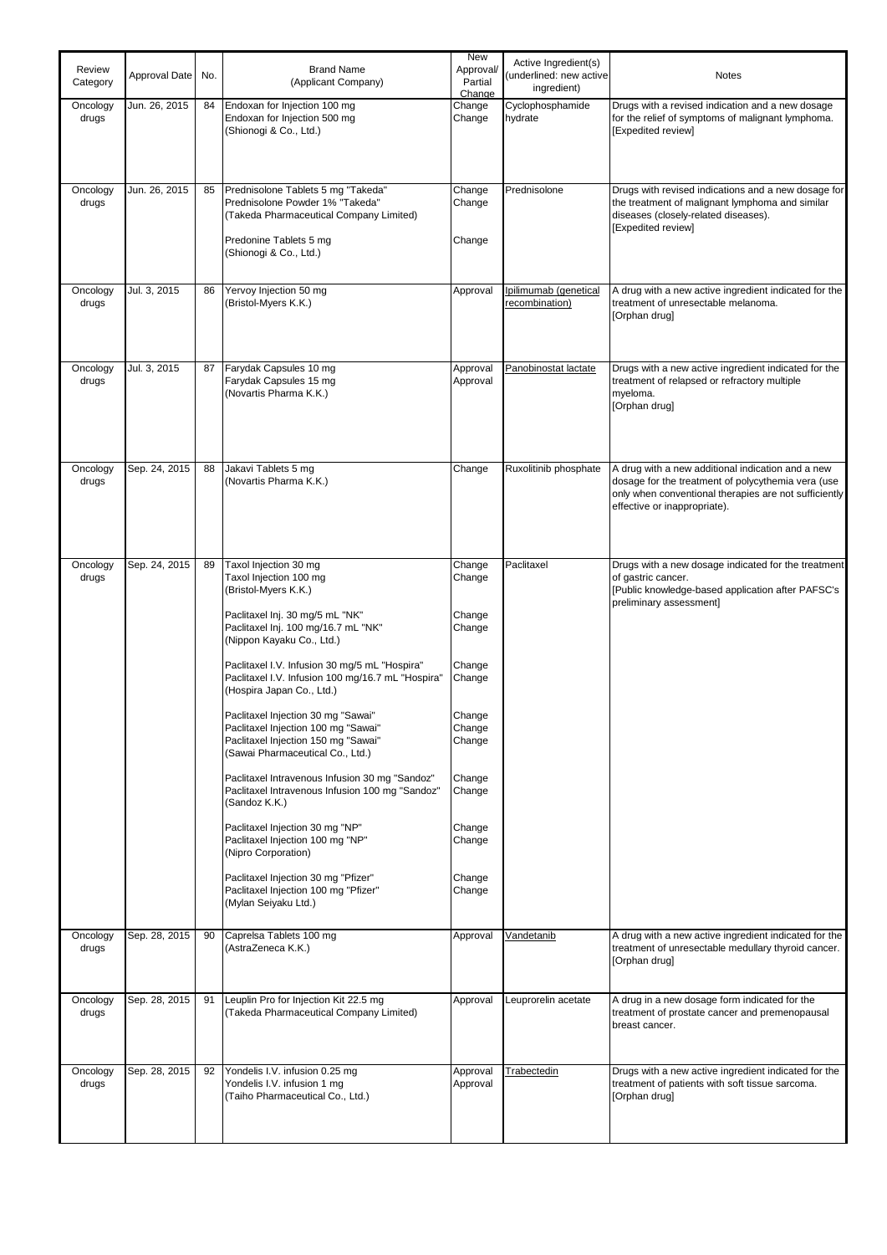| Review<br>Category | Approval Date | No. | <b>Brand Name</b><br>(Applicant Company)                                                                                                                                                                                                                                                                                                                                                                                                                                                                                                                                                                                                                                                                                                                                                             | New<br>Approval/<br>Partial<br>Change                                                                                                              | Active Ingredient(s)<br>underlined: new active<br>ingredient) | <b>Notes</b>                                                                                                                                                                                     |
|--------------------|---------------|-----|------------------------------------------------------------------------------------------------------------------------------------------------------------------------------------------------------------------------------------------------------------------------------------------------------------------------------------------------------------------------------------------------------------------------------------------------------------------------------------------------------------------------------------------------------------------------------------------------------------------------------------------------------------------------------------------------------------------------------------------------------------------------------------------------------|----------------------------------------------------------------------------------------------------------------------------------------------------|---------------------------------------------------------------|--------------------------------------------------------------------------------------------------------------------------------------------------------------------------------------------------|
| Oncology<br>drugs  | Jun. 26, 2015 | 84  | Endoxan for Injection 100 mg<br>Endoxan for Injection 500 mg<br>(Shionogi & Co., Ltd.)                                                                                                                                                                                                                                                                                                                                                                                                                                                                                                                                                                                                                                                                                                               | Change<br>Change                                                                                                                                   | Cyclophosphamide<br>hydrate                                   | Drugs with a revised indication and a new dosage<br>for the relief of symptoms of malignant lymphoma.<br>[Expedited review]                                                                      |
| Oncology<br>drugs  | Jun. 26, 2015 | 85  | Prednisolone Tablets 5 mg "Takeda"<br>Prednisolone Powder 1% "Takeda"<br>(Takeda Pharmaceutical Company Limited)<br>Predonine Tablets 5 mg<br>(Shionogi & Co., Ltd.)                                                                                                                                                                                                                                                                                                                                                                                                                                                                                                                                                                                                                                 | Change<br>Change<br>Change                                                                                                                         | Prednisolone                                                  | Drugs with revised indications and a new dosage for<br>the treatment of malignant lymphoma and similar<br>diseases (closely-related diseases).<br>[Expedited review]                             |
| Oncology<br>drugs  | Jul. 3, 2015  | 86  | Yervoy Injection 50 mg<br>(Bristol-Myers K.K.)                                                                                                                                                                                                                                                                                                                                                                                                                                                                                                                                                                                                                                                                                                                                                       | Approval                                                                                                                                           | Ipilimumab (genetical<br>recombination)                       | A drug with a new active ingredient indicated for the<br>treatment of unresectable melanoma.<br>[Orphan drug]                                                                                    |
| Oncology<br>drugs  | Jul. 3, 2015  | 87  | Farydak Capsules 10 mg<br>Farydak Capsules 15 mg<br>(Novartis Pharma K.K.)                                                                                                                                                                                                                                                                                                                                                                                                                                                                                                                                                                                                                                                                                                                           | Approval<br>Approval                                                                                                                               | Panobinostat lactate                                          | Drugs with a new active ingredient indicated for the<br>treatment of relapsed or refractory multiple<br>myeloma.<br>[Orphan drug]                                                                |
| Oncology<br>drugs  | Sep. 24, 2015 | 88  | Jakavi Tablets 5 mg<br>(Novartis Pharma K.K.)                                                                                                                                                                                                                                                                                                                                                                                                                                                                                                                                                                                                                                                                                                                                                        | Change                                                                                                                                             | Ruxolitinib phosphate                                         | A drug with a new additional indication and a new<br>dosage for the treatment of polycythemia vera (use<br>only when conventional therapies are not sufficiently<br>effective or inappropriate). |
| Oncology<br>drugs  | Sep. 24, 2015 | 89  | Taxol Injection 30 mg<br>Taxol Injection 100 mg<br>(Bristol-Myers K.K.)<br>Paclitaxel Inj. 30 mg/5 mL "NK"<br>Paclitaxel Inj. 100 mg/16.7 mL "NK"<br>(Nippon Kayaku Co., Ltd.)<br>Paclitaxel I.V. Infusion 30 mg/5 mL "Hospira"<br>Paclitaxel I.V. Infusion 100 mg/16.7 mL "Hospira"<br>(Hospira Japan Co., Ltd.)<br>Paclitaxel Injection 30 mg "Sawai"<br>Paclitaxel Injection 100 mg "Sawai"<br>Paclitaxel Injection 150 mg "Sawai"<br>(Sawai Pharmaceutical Co., Ltd.)<br>Paclitaxel Intravenous Infusion 30 mg "Sandoz"<br>Paclitaxel Intravenous Infusion 100 mg "Sandoz"<br>(Sandoz K.K.)<br>Paclitaxel Injection 30 mg "NP"<br>Paclitaxel Injection 100 mg "NP"<br>(Nipro Corporation)<br>Paclitaxel Injection 30 mg "Pfizer"<br>Paclitaxel Injection 100 mg "Pfizer"<br>(Mylan Seiyaku Ltd.) | Change<br>Change<br>Change<br>Change<br>Change<br>Change<br>Change<br>Change<br>Change<br>Change<br>Change<br>Change<br>Change<br>Change<br>Change | Paclitaxel                                                    | Drugs with a new dosage indicated for the treatment<br>of gastric cancer.<br>[Public knowledge-based application after PAFSC's<br>preliminary assessment]                                        |
| Oncology<br>drugs  | Sep. 28, 2015 | 90  | Caprelsa Tablets 100 mg<br>(AstraZeneca K.K.)                                                                                                                                                                                                                                                                                                                                                                                                                                                                                                                                                                                                                                                                                                                                                        | Approval                                                                                                                                           | Vandetanib                                                    | A drug with a new active ingredient indicated for the<br>treatment of unresectable medullary thyroid cancer.<br>[Orphan drug]                                                                    |
| Oncology<br>drugs  | Sep. 28, 2015 | 91  | Leuplin Pro for Injection Kit 22.5 mg<br>(Takeda Pharmaceutical Company Limited)                                                                                                                                                                                                                                                                                                                                                                                                                                                                                                                                                                                                                                                                                                                     | Approval                                                                                                                                           | Leuprorelin acetate                                           | A drug in a new dosage form indicated for the<br>treatment of prostate cancer and premenopausal<br>breast cancer.                                                                                |
| Oncology<br>drugs  | Sep. 28, 2015 | 92  | Yondelis I.V. infusion 0.25 mg<br>Yondelis I.V. infusion 1 mg<br>(Taiho Pharmaceutical Co., Ltd.)                                                                                                                                                                                                                                                                                                                                                                                                                                                                                                                                                                                                                                                                                                    | Approval<br>Approval                                                                                                                               | Trabectedin                                                   | Drugs with a new active ingredient indicated for the<br>treatment of patients with soft tissue sarcoma.<br>[Orphan drug]                                                                         |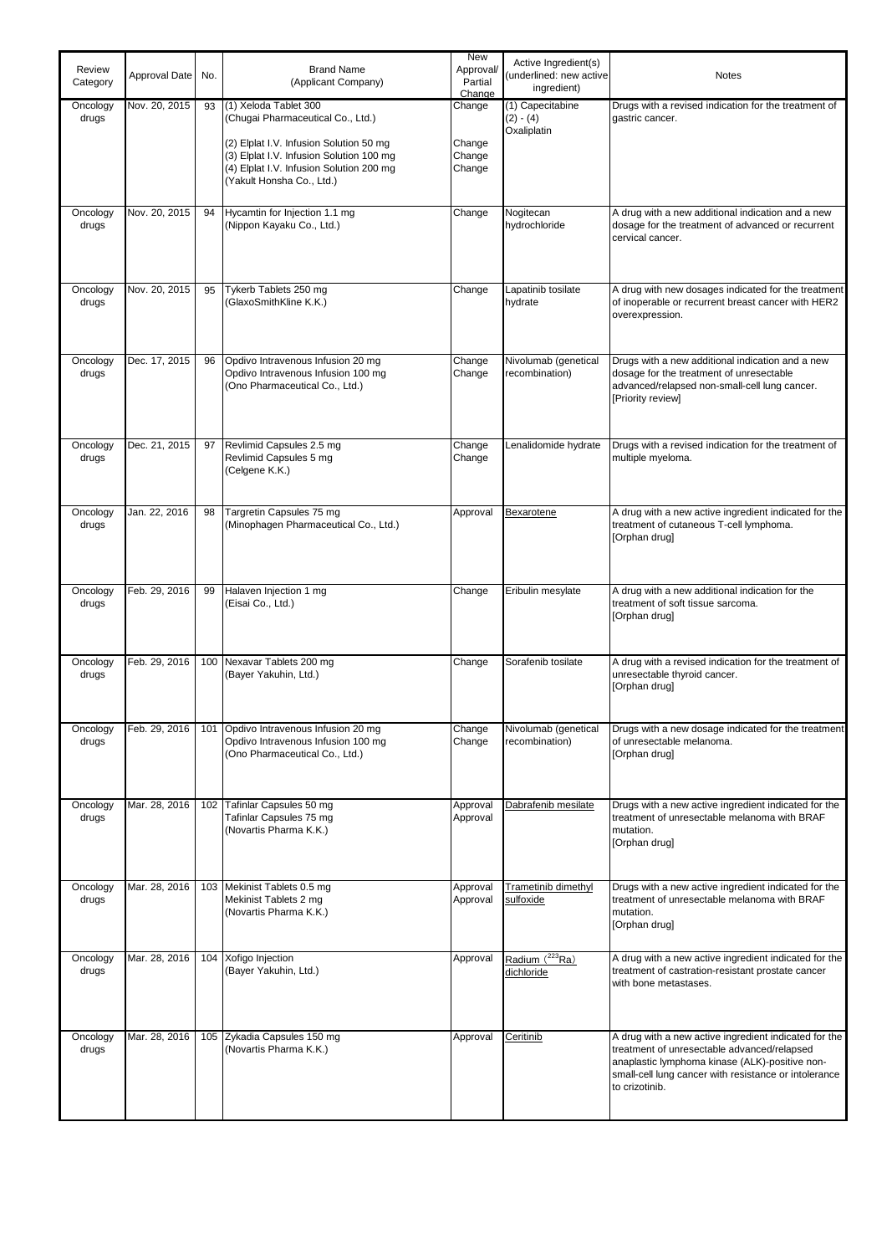| Review<br>Category | Approval Date | No. | <b>Brand Name</b><br>(Applicant Company)                                                                                                                                                                                   | <b>New</b><br>Approval/<br>Partial<br>Change | Active Ingredient(s)<br>(underlined: new active<br>ingredient) | <b>Notes</b>                                                                                                                                                                                                                      |
|--------------------|---------------|-----|----------------------------------------------------------------------------------------------------------------------------------------------------------------------------------------------------------------------------|----------------------------------------------|----------------------------------------------------------------|-----------------------------------------------------------------------------------------------------------------------------------------------------------------------------------------------------------------------------------|
| Oncology<br>drugs  | Nov. 20, 2015 | 93  | (1) Xeloda Tablet 300<br>(Chugai Pharmaceutical Co., Ltd.)<br>(2) Elplat I.V. Infusion Solution 50 mg<br>(3) Elplat I.V. Infusion Solution 100 mg<br>(4) Elplat I.V. Infusion Solution 200 mg<br>(Yakult Honsha Co., Ltd.) | Change<br>Change<br>Change<br>Change         | (1) Capecitabine<br>$(2) - (4)$<br>Oxaliplatin                 | Drugs with a revised indication for the treatment of<br>qastric cancer.                                                                                                                                                           |
| Oncology<br>drugs  | Nov. 20, 2015 | 94  | Hycamtin for Injection 1.1 mg<br>(Nippon Kayaku Co., Ltd.)                                                                                                                                                                 | Change                                       | Nogitecan<br>hydrochloride                                     | A drug with a new additional indication and a new<br>dosage for the treatment of advanced or recurrent<br>cervical cancer.                                                                                                        |
| Oncology<br>drugs  | Nov. 20, 2015 | 95  | Tykerb Tablets 250 mg<br>(GlaxoSmithKline K.K.)                                                                                                                                                                            | Change                                       | Lapatinib tosilate<br>hydrate                                  | A drug with new dosages indicated for the treatment<br>of inoperable or recurrent breast cancer with HER2<br>overexpression.                                                                                                      |
| Oncology<br>drugs  | Dec. 17, 2015 | 96  | Opdivo Intravenous Infusion 20 mg<br>Opdivo Intravenous Infusion 100 mg<br>(Ono Pharmaceutical Co., Ltd.)                                                                                                                  | Change<br>Change                             | Nivolumab (genetical<br>recombination)                         | Drugs with a new additional indication and a new<br>dosage for the treatment of unresectable<br>advanced/relapsed non-small-cell lung cancer.<br>[Priority review]                                                                |
| Oncology<br>drugs  | Dec. 21, 2015 | 97  | Revlimid Capsules 2.5 mg<br>Revlimid Capsules 5 mg<br>(Celgene K.K.)                                                                                                                                                       | Change<br>Change                             | Lenalidomide hydrate                                           | Drugs with a revised indication for the treatment of<br>multiple myeloma.                                                                                                                                                         |
| Oncology<br>drugs  | Jan. 22, 2016 | 98  | Targretin Capsules 75 mg<br>(Minophagen Pharmaceutical Co., Ltd.)                                                                                                                                                          | Approval                                     | Bexarotene                                                     | A drug with a new active ingredient indicated for the<br>treatment of cutaneous T-cell lymphoma.<br>[Orphan drug]                                                                                                                 |
| Oncology<br>drugs  | Feb. 29, 2016 | 99  | Halaven Injection 1 mg<br>(Eisai Co., Ltd.)                                                                                                                                                                                | Change                                       | Eribulin mesylate                                              | A drug with a new additional indication for the<br>treatment of soft tissue sarcoma.<br>[Orphan drug]                                                                                                                             |
| Oncology<br>drugs  | Feb. 29, 2016 |     | 100 Nexavar Tablets 200 mg<br>(Bayer Yakuhin, Ltd.)                                                                                                                                                                        | Change                                       | Sorafenib tosilate                                             | A drug with a revised indication for the treatment of<br>unresectable thyroid cancer.<br>[Orphan drug]                                                                                                                            |
| Oncology<br>drugs  | Feb. 29, 2016 | 101 | Opdivo Intravenous Infusion 20 mg<br>Opdivo Intravenous Infusion 100 mg<br>(Ono Pharmaceutical Co., Ltd.)                                                                                                                  | Change<br>Change                             | Nivolumab (genetical<br>recombination)                         | Drugs with a new dosage indicated for the treatment<br>of unresectable melanoma.<br>[Orphan drug]                                                                                                                                 |
| Oncology<br>drugs  | Mar. 28, 2016 |     | 102 Tafinlar Capsules 50 mg<br>Tafinlar Capsules 75 mg<br>(Novartis Pharma K.K.)                                                                                                                                           | Approval<br>Approval                         | Dabrafenib mesilate                                            | Drugs with a new active ingredient indicated for the<br>treatment of unresectable melanoma with BRAF<br>mutation.<br>[Orphan drug]                                                                                                |
| Oncology<br>drugs  | Mar. 28, 2016 |     | 103 Mekinist Tablets 0.5 mg<br>Mekinist Tablets 2 mg<br>(Novartis Pharma K.K.)                                                                                                                                             | Approval<br>Approval                         | Trametinib dimethyl<br>sulfoxide                               | Drugs with a new active ingredient indicated for the<br>treatment of unresectable melanoma with BRAF<br>mutation.<br>[Orphan drug]                                                                                                |
| Oncology<br>drugs  | Mar. 28, 2016 |     | 104 Xofigo Injection<br>(Bayer Yakuhin, Ltd.)                                                                                                                                                                              | Approval                                     | Radium (223Ra)<br>dichloride                                   | A drug with a new active ingredient indicated for the<br>treatment of castration-resistant prostate cancer<br>with bone metastases.                                                                                               |
| Oncology<br>drugs  | Mar. 28, 2016 |     | 105 Zykadia Capsules 150 mg<br>(Novartis Pharma K.K.)                                                                                                                                                                      | Approval                                     | Ceritinib                                                      | A drug with a new active ingredient indicated for the<br>treatment of unresectable advanced/relapsed<br>anaplastic lymphoma kinase (ALK)-positive non-<br>small-cell lung cancer with resistance or intolerance<br>to crizotinib. |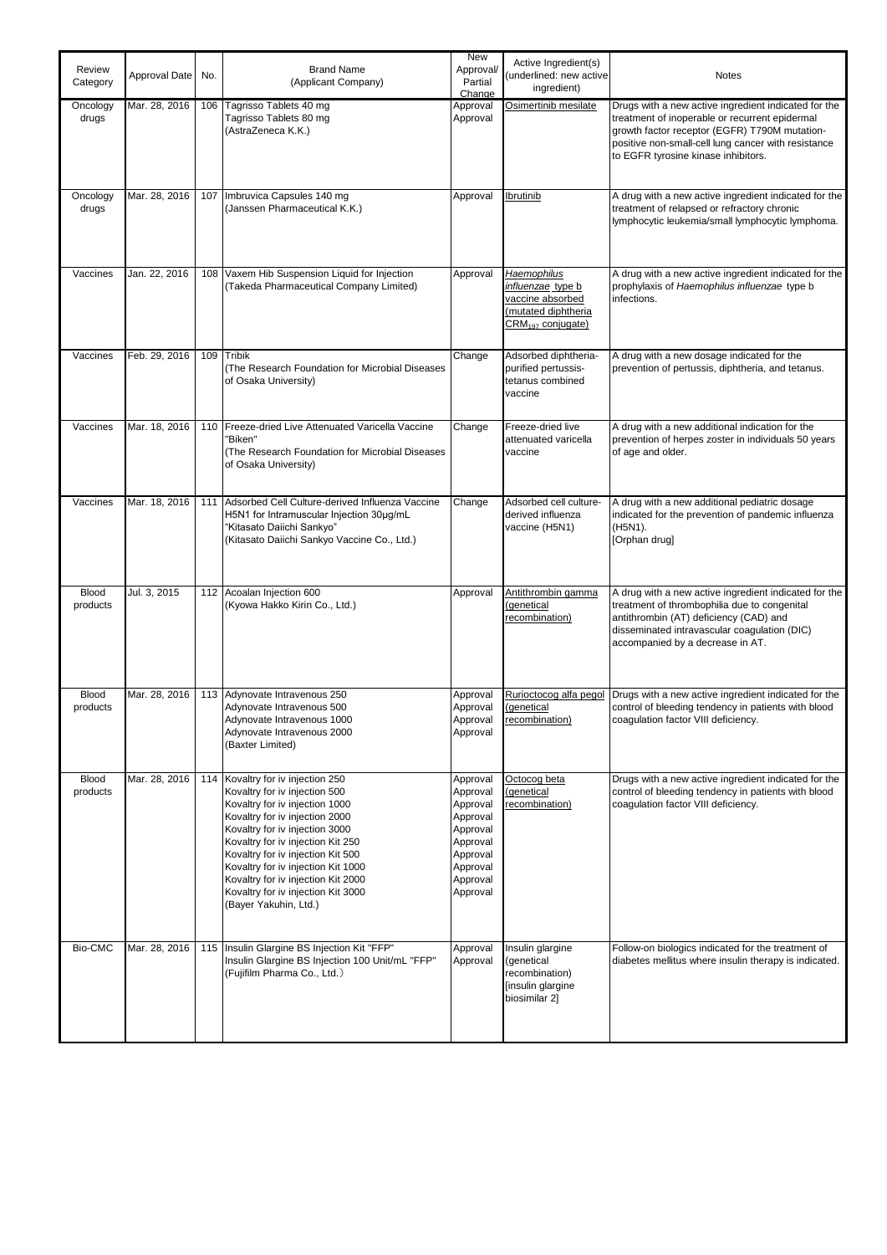| Review<br>Category       | Approval Date | No. | <b>Brand Name</b><br>(Applicant Company)                                                                                                                                                                                                                                                                                                                                                  | New<br>Approval/<br>Partial                                                                                          | Active Ingredient(s)<br>(underlined: new active<br>ingredient)                                               | <b>Notes</b>                                                                                                                                                                                                                                          |
|--------------------------|---------------|-----|-------------------------------------------------------------------------------------------------------------------------------------------------------------------------------------------------------------------------------------------------------------------------------------------------------------------------------------------------------------------------------------------|----------------------------------------------------------------------------------------------------------------------|--------------------------------------------------------------------------------------------------------------|-------------------------------------------------------------------------------------------------------------------------------------------------------------------------------------------------------------------------------------------------------|
| Oncology<br>drugs        | Mar. 28, 2016 | 106 | Tagrisso Tablets 40 mg<br>Tagrisso Tablets 80 mg<br>(AstraZeneca K.K.)                                                                                                                                                                                                                                                                                                                    | Change<br>Approval<br>Approval                                                                                       | Osimertinib mesilate                                                                                         | Drugs with a new active ingredient indicated for the<br>treatment of inoperable or recurrent epidermal<br>growth factor receptor (EGFR) T790M mutation-<br>positive non-small-cell lung cancer with resistance<br>to EGFR tyrosine kinase inhibitors. |
| Oncology<br>drugs        | Mar. 28, 2016 | 107 | Imbruvica Capsules 140 mg<br>(Janssen Pharmaceutical K.K.)                                                                                                                                                                                                                                                                                                                                | Approval                                                                                                             | <b>Ibrutinib</b>                                                                                             | A drug with a new active ingredient indicated for the<br>treatment of relapsed or refractory chronic<br>lymphocytic leukemia/small lymphocytic lymphoma.                                                                                              |
| Vaccines                 | Jan. 22, 2016 |     | 108 Vaxem Hib Suspension Liquid for Injection<br>(Takeda Pharmaceutical Company Limited)                                                                                                                                                                                                                                                                                                  | Approval                                                                                                             | Haemophilus<br>influenzae type b<br>vaccine absorbed<br>(mutated diphtheria<br>CRM <sub>197</sub> conjugate) | A drug with a new active ingredient indicated for the<br>prophylaxis of Haemophilus influenzae type b<br>infections.                                                                                                                                  |
| Vaccines                 | Feb. 29, 2016 |     | 109 Tribik<br>(The Research Foundation for Microbial Diseases<br>of Osaka University)                                                                                                                                                                                                                                                                                                     | Change                                                                                                               | Adsorbed diphtheria-<br>purified pertussis-<br>tetanus combined<br>vaccine                                   | A drug with a new dosage indicated for the<br>prevention of pertussis, diphtheria, and tetanus.                                                                                                                                                       |
| Vaccines                 | Mar. 18, 2016 | 110 | Freeze-dried Live Attenuated Varicella Vaccine<br>"Biken"<br>(The Research Foundation for Microbial Diseases<br>of Osaka University)                                                                                                                                                                                                                                                      | Change                                                                                                               | Freeze-dried live<br>attenuated varicella<br>vaccine                                                         | A drug with a new additional indication for the<br>prevention of herpes zoster in individuals 50 years<br>of age and older.                                                                                                                           |
| Vaccines                 | Mar. 18, 2016 | 111 | Adsorbed Cell Culture-derived Influenza Vaccine<br>H5N1 for Intramuscular Injection 30µg/mL<br>"Kitasato Daiichi Sankyo"<br>(Kitasato Daiichi Sankyo Vaccine Co., Ltd.)                                                                                                                                                                                                                   | Change                                                                                                               | Adsorbed cell culture-<br>derived influenza<br>vaccine (H5N1)                                                | A drug with a new additional pediatric dosage<br>indicated for the prevention of pandemic influenza<br>(H5N1).<br>[Orphan drug]                                                                                                                       |
| <b>Blood</b><br>products | Jul. 3, 2015  | 112 | Acoalan Injection 600<br>(Kyowa Hakko Kirin Co., Ltd.)                                                                                                                                                                                                                                                                                                                                    | Approval                                                                                                             | Antithrombin gamma<br>(genetical<br>recombination)                                                           | A drug with a new active ingredient indicated for the<br>treatment of thrombophilia due to congenital<br>antithrombin (AT) deficiency (CAD) and<br>disseminated intravascular coaqulation (DIC)<br>accompanied by a decrease in AT.                   |
| <b>Blood</b><br>products | Mar. 28, 2016 |     | 113 Adynovate Intravenous 250<br>Adynovate Intravenous 500<br>Adynovate Intravenous 1000<br>Adynovate Intravenous 2000<br>(Baxter Limited)                                                                                                                                                                                                                                                | Approval<br>Approval<br>Approval<br>Approval                                                                         | Rurioctocog alfa pegol<br>(genetical<br>recombination)                                                       | Drugs with a new active ingredient indicated for the<br>control of bleeding tendency in patients with blood<br>coagulation factor VIII deficiency.                                                                                                    |
| Blood<br>products        | Mar. 28, 2016 | 114 | Kovaltry for iv injection 250<br>Kovaltry for iv injection 500<br>Kovaltry for iv injection 1000<br>Kovaltry for iv injection 2000<br>Kovaltry for iv injection 3000<br>Kovaltry for iv injection Kit 250<br>Kovaltry for iv injection Kit 500<br>Kovaltry for iv injection Kit 1000<br>Kovaltry for iv injection Kit 2000<br>Kovaltry for iv injection Kit 3000<br>(Bayer Yakuhin, Ltd.) | Approval<br>Approval<br>Approval<br>Approval<br>Approval<br>Approval<br>Approval<br>Approval<br>Approval<br>Approval | Octocog beta<br>(genetical<br>recombination)                                                                 | Drugs with a new active ingredient indicated for the<br>control of bleeding tendency in patients with blood<br>coagulation factor VIII deficiency.                                                                                                    |
| Bio-CMC                  | Mar. 28, 2016 | 115 | Insulin Glargine BS Injection Kit "FFP"<br>Insulin Glargine BS Injection 100 Unit/mL "FFP"<br>(Fujifilm Pharma Co., Ltd.)                                                                                                                                                                                                                                                                 | Approval<br>Approval                                                                                                 | Insulin glargine<br>(genetical<br>recombination)<br>[insulin glargine<br>biosimilar 2]                       | Follow-on biologics indicated for the treatment of<br>diabetes mellitus where insulin therapy is indicated.                                                                                                                                           |